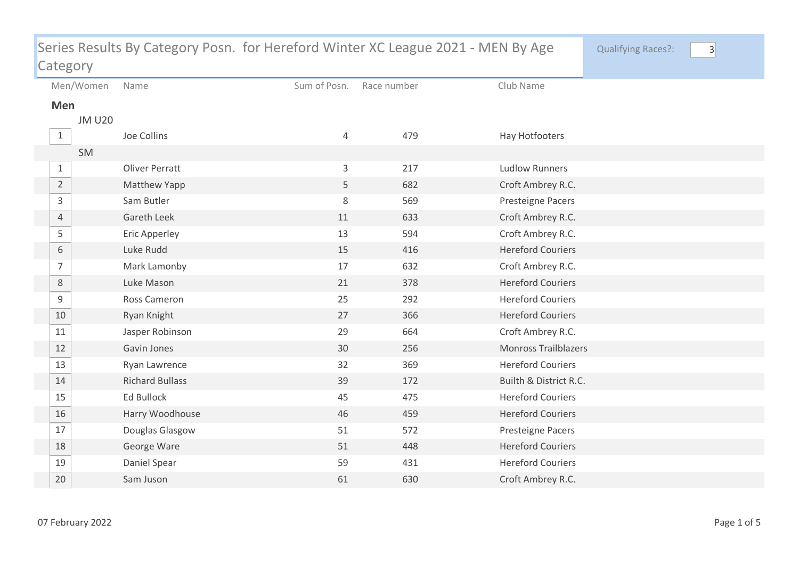| Series Results By Category Posn. for Hereford Winter XC League 2021 - MEN By Age |               |                        |              |             |                             | <b>Qualifying Races?:</b> | $\vert 3 \vert$ |
|----------------------------------------------------------------------------------|---------------|------------------------|--------------|-------------|-----------------------------|---------------------------|-----------------|
| Category                                                                         |               |                        |              |             |                             |                           |                 |
|                                                                                  | Men/Women     | Name                   | Sum of Posn. | Race number | Club Name                   |                           |                 |
| Men                                                                              |               |                        |              |             |                             |                           |                 |
|                                                                                  | <b>JM U20</b> |                        |              |             |                             |                           |                 |
| $\mathbf{1}$                                                                     |               | Joe Collins            | 4            | 479         | Hay Hotfooters              |                           |                 |
|                                                                                  | SM            |                        |              |             |                             |                           |                 |
| $\mathbf{1}$                                                                     |               | <b>Oliver Perratt</b>  | 3            | 217         | <b>Ludlow Runners</b>       |                           |                 |
| $\overline{2}$                                                                   |               | Matthew Yapp           | 5            | 682         | Croft Ambrey R.C.           |                           |                 |
| 3                                                                                |               | Sam Butler             | 8            | 569         | Presteigne Pacers           |                           |                 |
| $\overline{4}$                                                                   |               | <b>Gareth Leek</b>     | 11           | 633         | Croft Ambrey R.C.           |                           |                 |
| 5                                                                                |               | Eric Apperley          | 13           | 594         | Croft Ambrey R.C.           |                           |                 |
| 6                                                                                |               | Luke Rudd              | 15           | 416         | <b>Hereford Couriers</b>    |                           |                 |
| $\overline{7}$                                                                   |               | Mark Lamonby           | 17           | 632         | Croft Ambrey R.C.           |                           |                 |
| $\,8\,$                                                                          |               | Luke Mason             | 21           | 378         | <b>Hereford Couriers</b>    |                           |                 |
| 9                                                                                |               | Ross Cameron           | 25           | 292         | <b>Hereford Couriers</b>    |                           |                 |
| 10                                                                               |               | Ryan Knight            | 27           | 366         | <b>Hereford Couriers</b>    |                           |                 |
| 11                                                                               |               | Jasper Robinson        | 29           | 664         | Croft Ambrey R.C.           |                           |                 |
| 12                                                                               |               | Gavin Jones            | 30           | 256         | <b>Monross Trailblazers</b> |                           |                 |
| 13                                                                               |               | Ryan Lawrence          | 32           | 369         | <b>Hereford Couriers</b>    |                           |                 |
| 14                                                                               |               | <b>Richard Bullass</b> | 39           | 172         | Builth & District R.C.      |                           |                 |
| 15                                                                               |               | Ed Bullock             | 45           | 475         | <b>Hereford Couriers</b>    |                           |                 |
| 16                                                                               |               | Harry Woodhouse        | 46           | 459         | <b>Hereford Couriers</b>    |                           |                 |
| 17                                                                               |               | Douglas Glasgow        | 51           | 572         | Presteigne Pacers           |                           |                 |
| 18                                                                               |               | George Ware            | 51           | 448         | <b>Hereford Couriers</b>    |                           |                 |
| 19                                                                               |               | Daniel Spear           | 59           | 431         | <b>Hereford Couriers</b>    |                           |                 |
| 20                                                                               |               | Sam Juson              | 61           | 630         | Croft Ambrey R.C.           |                           |                 |
|                                                                                  |               |                        |              |             |                             |                           |                 |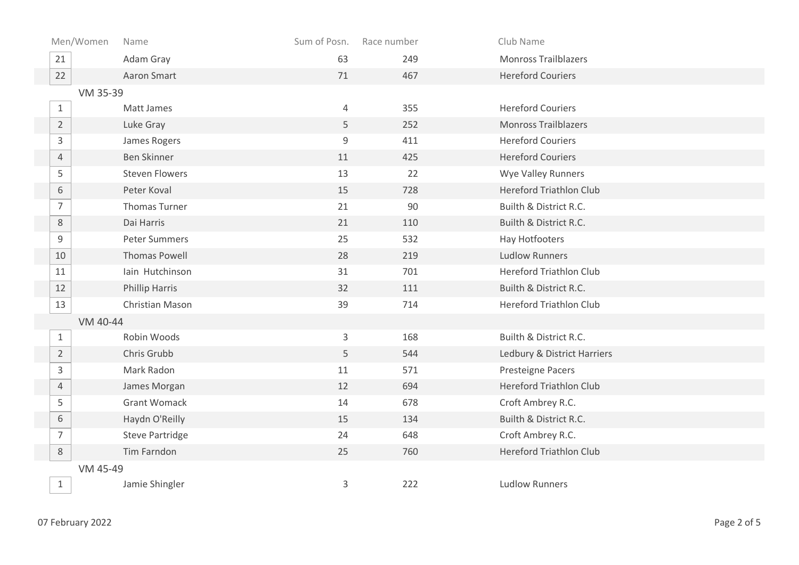| Men/Women      | Name                   | Sum of Posn. | Race number | Club Name                      |  |  |
|----------------|------------------------|--------------|-------------|--------------------------------|--|--|
| 21             | Adam Gray              | 63           | 249         | <b>Monross Trailblazers</b>    |  |  |
| 22             | Aaron Smart            | 71           | 467         | <b>Hereford Couriers</b>       |  |  |
|                | VM 35-39               |              |             |                                |  |  |
| $\mathbf{1}$   | Matt James             | 4            | 355         | <b>Hereford Couriers</b>       |  |  |
| $\overline{2}$ | Luke Gray              | 5            | 252         | <b>Monross Trailblazers</b>    |  |  |
| $\mathsf{3}$   | James Rogers           | 9            | 411         | <b>Hereford Couriers</b>       |  |  |
| $\overline{4}$ | <b>Ben Skinner</b>     | 11           | 425         | <b>Hereford Couriers</b>       |  |  |
| 5              | <b>Steven Flowers</b>  | 13           | 22          | Wye Valley Runners             |  |  |
| 6              | Peter Koval            | 15           | 728         | <b>Hereford Triathlon Club</b> |  |  |
| $\overline{7}$ | Thomas Turner          | 21           | 90          | Builth & District R.C.         |  |  |
| $8\,$          | Dai Harris             | 21           | 110         | Builth & District R.C.         |  |  |
| 9              | <b>Peter Summers</b>   | 25           | 532         | Hay Hotfooters                 |  |  |
| 10             | <b>Thomas Powell</b>   | 28           | 219         | <b>Ludlow Runners</b>          |  |  |
| 11             | Iain Hutchinson        | 31           | 701         | <b>Hereford Triathlon Club</b> |  |  |
| 12             | <b>Phillip Harris</b>  | 32           | 111         | Builth & District R.C.         |  |  |
| 13             | Christian Mason        | 39           | 714         | <b>Hereford Triathlon Club</b> |  |  |
|                | VM 40-44               |              |             |                                |  |  |
| $\mathbf{1}$   | Robin Woods            | 3            | 168         | Builth & District R.C.         |  |  |
| $\overline{2}$ | Chris Grubb            | 5            | 544         | Ledbury & District Harriers    |  |  |
| $\mathsf{3}$   | Mark Radon             | 11           | 571         | Presteigne Pacers              |  |  |
| $\overline{4}$ | James Morgan           | 12           | 694         | <b>Hereford Triathlon Club</b> |  |  |
| 5              | <b>Grant Womack</b>    | 14           | 678         | Croft Ambrey R.C.              |  |  |
| 6              | Haydn O'Reilly         | 15           | 134         | Builth & District R.C.         |  |  |
| $\overline{7}$ | <b>Steve Partridge</b> | 24           | 648         | Croft Ambrey R.C.              |  |  |
| 8              | Tim Farndon            | 25           | 760         | <b>Hereford Triathlon Club</b> |  |  |
|                | VM 45-49               |              |             |                                |  |  |
| $\mathbf{1}$   | Jamie Shingler         | 3            | 222         | <b>Ludlow Runners</b>          |  |  |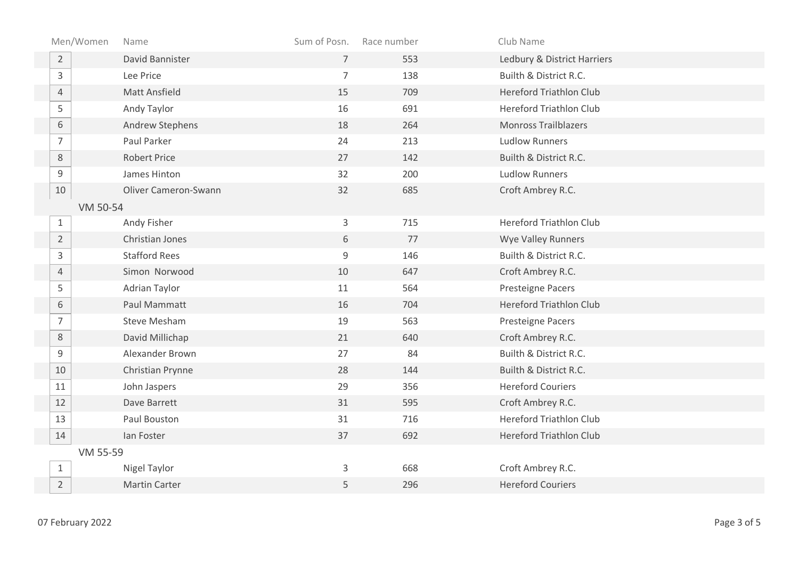| Men/Women      | Name                 | Sum of Posn.   | Race number | Club Name                      |
|----------------|----------------------|----------------|-------------|--------------------------------|
| $\overline{2}$ | David Bannister      | $\overline{7}$ | 553         | Ledbury & District Harriers    |
| $\mathsf{3}$   | Lee Price            | $\overline{7}$ | 138         | Builth & District R.C.         |
| $\overline{4}$ | <b>Matt Ansfield</b> | 15             | 709         | <b>Hereford Triathlon Club</b> |
| 5              | Andy Taylor          | 16             | 691         | <b>Hereford Triathlon Club</b> |
| 6              | Andrew Stephens      | 18             | 264         | <b>Monross Trailblazers</b>    |
| $\overline{7}$ | Paul Parker          | 24             | 213         | <b>Ludlow Runners</b>          |
| $8\,$          | <b>Robert Price</b>  | 27             | 142         | Builth & District R.C.         |
| $\mathsf g$    | James Hinton         | 32             | 200         | <b>Ludlow Runners</b>          |
| 10             | Oliver Cameron-Swann | 32             | 685         | Croft Ambrey R.C.              |
| VM 50-54       |                      |                |             |                                |
| $\mathbf{1}$   | Andy Fisher          | 3              | 715         | <b>Hereford Triathlon Club</b> |
| $\overline{2}$ | Christian Jones      | 6              | 77          | Wye Valley Runners             |
| $\mathsf{3}$   | <b>Stafford Rees</b> | 9              | 146         | Builth & District R.C.         |
| $\overline{4}$ | Simon Norwood        | 10             | 647         | Croft Ambrey R.C.              |
| 5              | Adrian Taylor        | 11             | 564         | Presteigne Pacers              |
| 6              | Paul Mammatt         | 16             | 704         | <b>Hereford Triathlon Club</b> |
| $\overline{7}$ | <b>Steve Mesham</b>  | 19             | 563         | Presteigne Pacers              |
| 8              | David Millichap      | 21             | 640         | Croft Ambrey R.C.              |
| 9              | Alexander Brown      | 27             | 84          | Builth & District R.C.         |
| 10             | Christian Prynne     | 28             | 144         | Builth & District R.C.         |
| 11             | John Jaspers         | 29             | 356         | <b>Hereford Couriers</b>       |
| 12             | Dave Barrett         | 31             | 595         | Croft Ambrey R.C.              |
| 13             | Paul Bouston         | 31             | 716         | <b>Hereford Triathlon Club</b> |
| 14             | Ian Foster           | 37             | 692         | <b>Hereford Triathlon Club</b> |
| VM 55-59       |                      |                |             |                                |
| $\mathbf{1}$   | Nigel Taylor         | 3              | 668         | Croft Ambrey R.C.              |
| $\overline{2}$ | <b>Martin Carter</b> | 5              | 296         | <b>Hereford Couriers</b>       |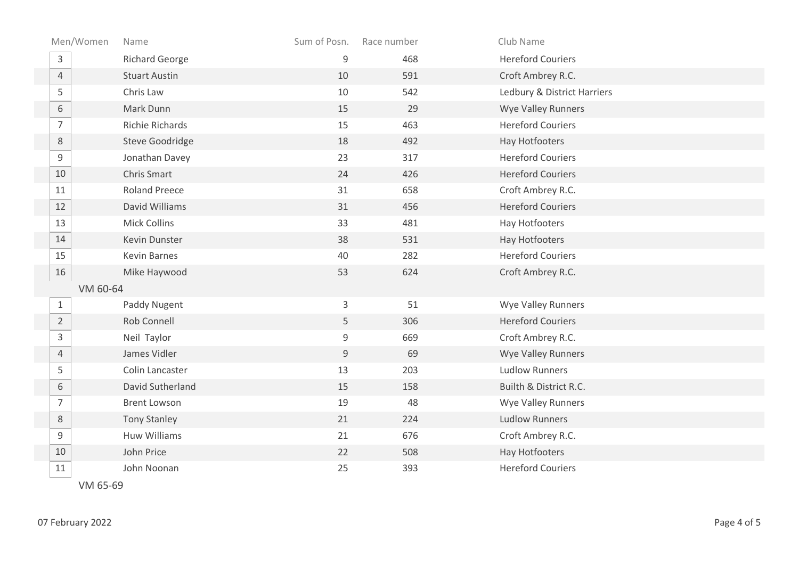| Men/Women      | Name                   | Sum of Posn. | Race number | Club Name                   |
|----------------|------------------------|--------------|-------------|-----------------------------|
| 3              | <b>Richard George</b>  | 9            | 468         | <b>Hereford Couriers</b>    |
| $\overline{4}$ | <b>Stuart Austin</b>   | 10           | 591         | Croft Ambrey R.C.           |
| 5              | Chris Law              | 10           | 542         | Ledbury & District Harriers |
| 6              | Mark Dunn              | 15           | 29          | Wye Valley Runners          |
| 7              | Richie Richards        | 15           | 463         | <b>Hereford Couriers</b>    |
| $\,8\,$        | <b>Steve Goodridge</b> | 18           | 492         | Hay Hotfooters              |
| 9              | Jonathan Davey         | 23           | 317         | <b>Hereford Couriers</b>    |
| 10             | Chris Smart            | 24           | 426         | <b>Hereford Couriers</b>    |
| 11             | <b>Roland Preece</b>   | 31           | 658         | Croft Ambrey R.C.           |
| 12             | David Williams         | 31           | 456         | <b>Hereford Couriers</b>    |
| 13             | <b>Mick Collins</b>    | 33           | 481         | Hay Hotfooters              |
| 14             | Kevin Dunster          | 38           | 531         | Hay Hotfooters              |
| 15             | <b>Kevin Barnes</b>    | 40           | 282         | <b>Hereford Couriers</b>    |
| 16             | Mike Haywood           | 53           | 624         | Croft Ambrey R.C.           |
| VM 60-64       |                        |              |             |                             |
| $\mathbf{1}$   | Paddy Nugent           | 3            | 51          | Wye Valley Runners          |
| $\overline{2}$ | Rob Connell            | 5            | 306         | <b>Hereford Couriers</b>    |
| 3              | Neil Taylor            | 9            | 669         | Croft Ambrey R.C.           |
| $\overline{4}$ | James Vidler           | $\mathsf 9$  | 69          | <b>Wye Valley Runners</b>   |
| 5              | Colin Lancaster        | 13           | 203         | <b>Ludlow Runners</b>       |
| 6              | David Sutherland       | 15           | 158         | Builth & District R.C.      |
| $\overline{7}$ | <b>Brent Lowson</b>    | 19           | 48          | Wye Valley Runners          |
| 8              | <b>Tony Stanley</b>    | 21           | 224         | <b>Ludlow Runners</b>       |
| 9              | Huw Williams           | 21           | 676         | Croft Ambrey R.C.           |
| 10             | John Price             | 22           | 508         | Hay Hotfooters              |
| 11             | John Noonan            | 25           | 393         | <b>Hereford Couriers</b>    |

VM 65-69